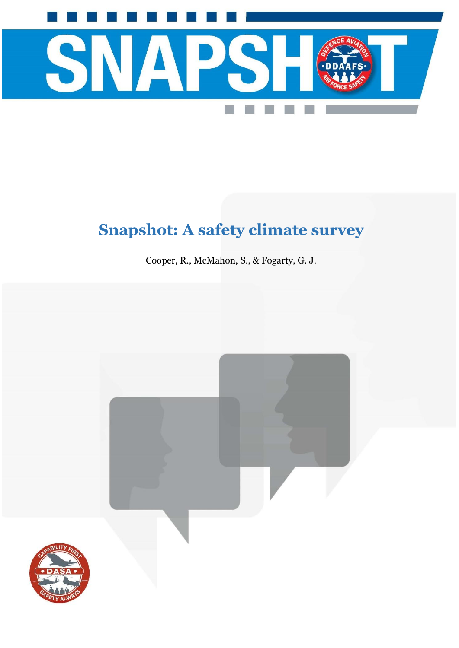

# **Snapshot: A safety climate survey**

Cooper, R., McMahon, S., & Fogarty, G. J.

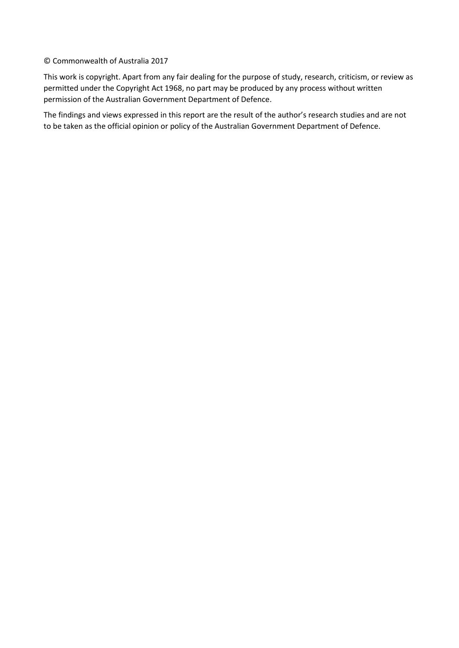### © Commonwealth of Australia 2017

This work is copyright. Apart from any fair dealing for the purpose of study, research, criticism, or review as permitted under the Copyright Act 1968, no part may be produced by any process without written permission of the Australian Government Department of Defence.

The findings and views expressed in this report are the result of the author's research studies and are not to be taken as the official opinion or policy of the Australian Government Department of Defence.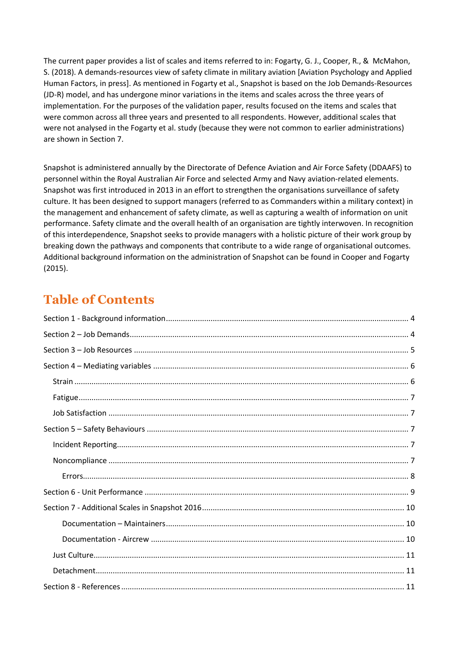The current paper provides a list of scales and items referred to in: Fogarty, G. J., Cooper, R., & McMahon, S. (2018). A demands-resources view of safety climate in military aviation [Aviation Psychology and Applied Human Factors, in press]. As mentioned in Fogarty et al., Snapshot is based on the Job Demands-Resources (JD-R) model, and has undergone minor variations in the items and scales across the three years of implementation. For the purposes of the validation paper, results focused on the items and scales that were common across all three years and presented to all respondents. However, additional scales that were not analysed in the Fogarty et al. study (because they were not common to earlier administrations) are shown in Section 7.

Snapshot is administered annually by the Directorate of Defence Aviation and Air Force Safety (DDAAFS) to personnel within the Royal Australian Air Force and selected Army and Navy aviation-related elements. Snapshot was first introduced in 2013 in an effort to strengthen the organisations surveillance of safety culture. It has been designed to support managers (referred to as Commanders within a military context) in the management and enhancement of safety climate, as well as capturing a wealth of information on unit performance. Safety climate and the overall health of an organisation are tightly interwoven. In recognition of this interdependence, Snapshot seeks to provide managers with a holistic picture of their work group by breaking down the pathways and components that contribute to a wide range of organisational outcomes. Additional background information on the administration of Snapshot can be found in Cooper and Fogarty (2015).

## **Table of Contents**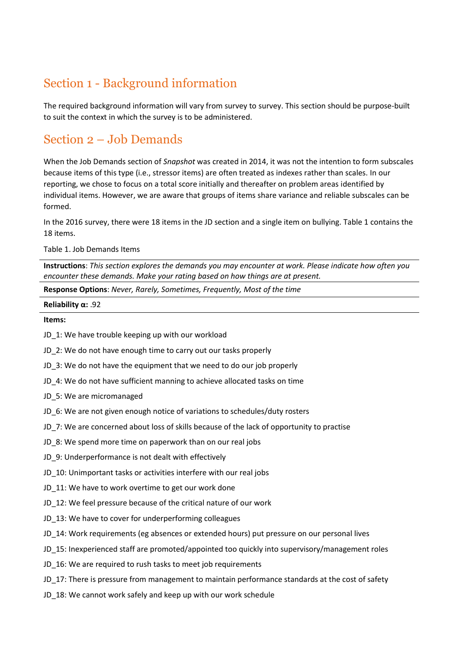## <span id="page-3-0"></span>Section 1 - Background information

The required background information will vary from survey to survey. This section should be purpose-built to suit the context in which the survey is to be administered.

## <span id="page-3-1"></span>Section 2 – Job Demands

When the Job Demands section of *Snapshot* was created in 2014, it was not the intention to form subscales because items of this type (i.e., stressor items) are often treated as indexes rather than scales. In our reporting, we chose to focus on a total score initially and thereafter on problem areas identified by individual items. However, we are aware that groups of items share variance and reliable subscales can be formed.

In the 2016 survey, there were 18 items in the JD section and a single item on bullying. Table 1 contains the 18 items.

Table 1. Job Demands Items

**Instructions**: *This section explores the demands you may encounter at work. Please indicate how often you encounter these demands. Make your rating based on how things are at present.*

**Response Options**: *Never, Rarely, Sometimes, Frequently, Most of the time*

#### **Reliability α:** .92

#### **Items:**

- JD 1: We have trouble keeping up with our workload
- JD 2: We do not have enough time to carry out our tasks properly
- JD 3: We do not have the equipment that we need to do our job properly
- JD 4: We do not have sufficient manning to achieve allocated tasks on time
- JD 5: We are micromanaged
- JD 6: We are not given enough notice of variations to schedules/duty rosters
- JD 7: We are concerned about loss of skills because of the lack of opportunity to practise
- JD 8: We spend more time on paperwork than on our real jobs
- JD 9: Underperformance is not dealt with effectively
- JD\_10: Unimportant tasks or activities interfere with our real jobs
- JD 11: We have to work overtime to get our work done
- JD 12: We feel pressure because of the critical nature of our work
- JD\_13: We have to cover for underperforming colleagues
- JD\_14: Work requirements (eg absences or extended hours) put pressure on our personal lives
- JD 15: Inexperienced staff are promoted/appointed too quickly into supervisory/management roles
- JD\_16: We are required to rush tasks to meet job requirements
- JD 17: There is pressure from management to maintain performance standards at the cost of safety
- JD\_18: We cannot work safely and keep up with our work schedule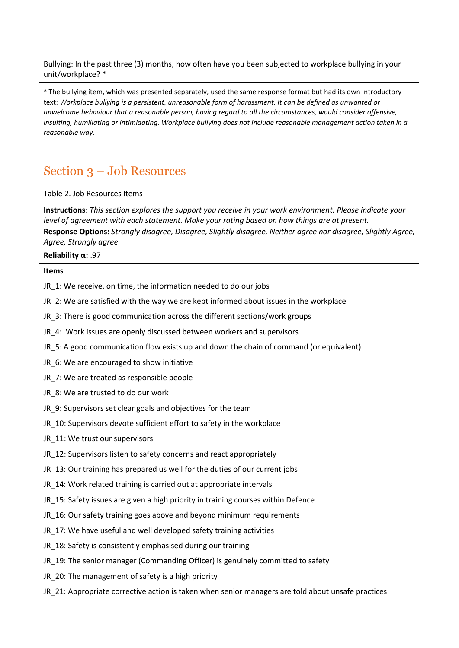Bullying: In the past three (3) months, how often have you been subjected to workplace bullying in your unit/workplace? \*

\* The bullying item, which was presented separately, used the same response format but had its own introductory text: *Workplace bullying is a persistent, unreasonable form of harassment. It can be defined as unwanted or unwelcome behaviour that a reasonable person, having regard to all the circumstances, would consider offensive, insulting, humiliating or intimidating. Workplace bullying does not include reasonable management action taken in a reasonable way.*

## <span id="page-4-0"></span>Section 3 – Job Resources

Table 2. Job Resources Items

**Instructions**: *This section explores the support you receive in your work environment. Please indicate your level of agreement with each statement. Make your rating based on how things are at present.*

**Response Options:** *Strongly disagree, Disagree, Slightly disagree, Neither agree nor disagree, Slightly Agree, Agree, Strongly agree*

**Reliability α:** .97

#### **Items**

- JR 1: We receive, on time, the information needed to do our jobs
- JR\_2: We are satisfied with the way we are kept informed about issues in the workplace
- JR\_3: There is good communication across the different sections/work groups
- JR\_4: Work issues are openly discussed between workers and supervisors
- JR\_5: A good communication flow exists up and down the chain of command (or equivalent)
- JR\_6: We are encouraged to show initiative
- JR 7: We are treated as responsible people
- JR 8: We are trusted to do our work
- JR 9: Supervisors set clear goals and objectives for the team
- JR\_10: Supervisors devote sufficient effort to safety in the workplace
- JR\_11: We trust our supervisors
- JR 12: Supervisors listen to safety concerns and react appropriately
- JR 13: Our training has prepared us well for the duties of our current jobs
- JR 14: Work related training is carried out at appropriate intervals
- JR 15: Safety issues are given a high priority in training courses within Defence
- JR 16: Our safety training goes above and beyond minimum requirements
- JR\_17: We have useful and well developed safety training activities
- JR 18: Safety is consistently emphasised during our training
- JR\_19: The senior manager (Commanding Officer) is genuinely committed to safety
- JR 20: The management of safety is a high priority
- JR\_21: Appropriate corrective action is taken when senior managers are told about unsafe practices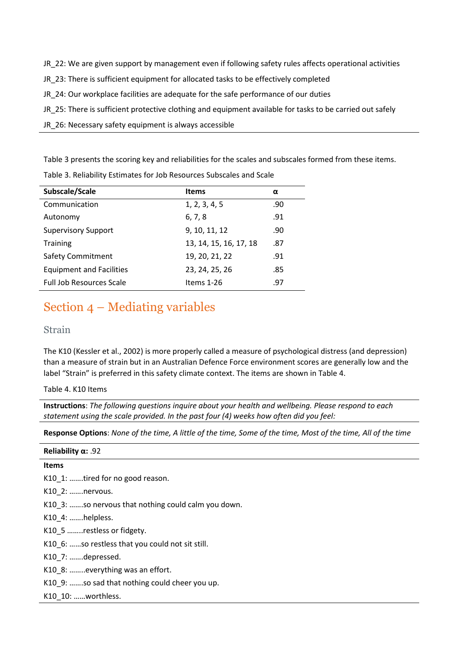- JR\_22: We are given support by management even if following safety rules affects operational activities
- JR\_23: There is sufficient equipment for allocated tasks to be effectively completed
- JR 24: Our workplace facilities are adequate for the safe performance of our duties
- JR\_25: There is sufficient protective clothing and equipment available for tasks to be carried out safely
- JR 26: Necessary safety equipment is always accessible

Table 3 presents the scoring key and reliabilities for the scales and subscales formed from these items.

Table 3. Reliability Estimates for Job Resources Subscales and Scale

| Subscale/Scale                  | <b>Items</b>           | α   |
|---------------------------------|------------------------|-----|
| Communication                   | 1, 2, 3, 4, 5          | .90 |
| Autonomy                        | 6, 7, 8                | .91 |
| <b>Supervisory Support</b>      | 9, 10, 11, 12          | .90 |
| <b>Training</b>                 | 13, 14, 15, 16, 17, 18 | .87 |
| <b>Safety Commitment</b>        | 19, 20, 21, 22         | .91 |
| <b>Equipment and Facilities</b> | 23, 24, 25, 26         | .85 |
| <b>Full Job Resources Scale</b> | Items 1-26             | .97 |

## <span id="page-5-0"></span>Section 4 – Mediating variables

## <span id="page-5-1"></span>Strain

The K10 (Kessler et al., 2002) is more properly called a measure of psychological distress (and depression) than a measure of strain but in an Australian Defence Force environment scores are generally low and the label "Strain" is preferred in this safety climate context. The items are shown in Table 4.

Table 4. K10 Items

**Instructions**: *The following questions inquire about your health and wellbeing. Please respond to each statement using the scale provided. In the past four (4) weeks how often did you feel:*

**Response Options**: *None of the time, A little of the time, Some of the time, Most of the time, All of the time*

### **Reliability α:** .92

### **Items**

K10\_1: .......tired for no good reason.

K10 2: .......nervous.

K10 3: .......so nervous that nothing could calm you down.

- K10 4: .......helpless.
- K10 5 ……..restless or fidgety.
- K10 6: ……so restless that you could not sit still.

K10\_7: …….depressed.

- K10\_8: ……..everything was an effort.
- K10 9: ……so sad that nothing could cheer you up.

K10\_10: ……worthless.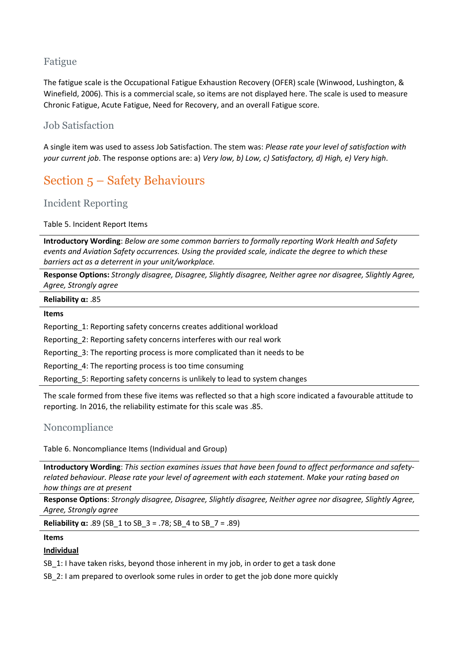## <span id="page-6-0"></span>Fatigue

The fatigue scale is the Occupational Fatigue Exhaustion Recovery (OFER) scale (Winwood, Lushington, & Winefield, 2006). This is a commercial scale, so items are not displayed here. The scale is used to measure Chronic Fatigue, Acute Fatigue, Need for Recovery, and an overall Fatigue score.

## <span id="page-6-1"></span>Job Satisfaction

A single item was used to assess Job Satisfaction. The stem was: *Please rate your level of satisfaction with your current job*. The response options are: a) *Very low, b) Low, c) Satisfactory, d) High, e) Very high*.

## <span id="page-6-2"></span>Section 5 – Safety Behaviours

## <span id="page-6-3"></span>Incident Reporting

Table 5. Incident Report Items

**Introductory Wording**: *Below are some common barriers to formally reporting Work Health and Safety events and Aviation Safety occurrences. Using the provided scale, indicate the degree to which these barriers act as a deterrent in your unit/workplace.*

**Response Options:** *Strongly disagree, Disagree, Slightly disagree, Neither agree nor disagree, Slightly Agree, Agree, Strongly agree*

### **Reliability α:** .85

### **Items**

Reporting\_1: Reporting safety concerns creates additional workload

Reporting\_2: Reporting safety concerns interferes with our real work

Reporting\_3: The reporting process is more complicated than it needs to be

Reporting\_4: The reporting process is too time consuming

Reporting\_5: Reporting safety concerns is unlikely to lead to system changes

The scale formed from these five items was reflected so that a high score indicated a favourable attitude to reporting. In 2016, the reliability estimate for this scale was .85.

## <span id="page-6-4"></span>Noncompliance

Table 6. Noncompliance Items (Individual and Group)

**Introductory Wording**: *This section examines issues that have been found to affect performance and safetyrelated behaviour. Please rate your level of agreement with each statement. Make your rating based on how things are at present*

**Response Options**: *Strongly disagree, Disagree, Slightly disagree, Neither agree nor disagree, Slightly Agree, Agree, Strongly agree*

**Reliability α:** .89 (SB\_1 to SB\_3 = .78; SB\_4 to SB\_7 = .89)

### **Items**

### **Individual**

SB 1: I have taken risks, beyond those inherent in my job, in order to get a task done

SB 2: I am prepared to overlook some rules in order to get the job done more quickly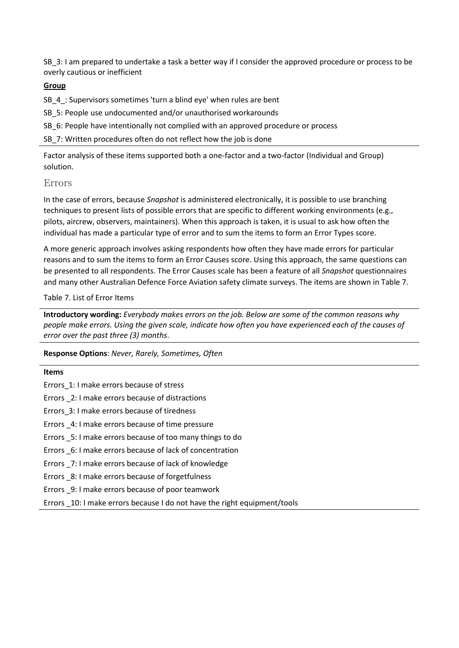SB 3: I am prepared to undertake a task a better way if I consider the approved procedure or process to be overly cautious or inefficient

### **Group**

SB\_4\_: Supervisors sometimes 'turn a blind eye' when rules are bent

SB 5: People use undocumented and/or unauthorised workarounds

SB 6: People have intentionally not complied with an approved procedure or process

SB 7: Written procedures often do not reflect how the job is done

Factor analysis of these items supported both a one-factor and a two-factor (Individual and Group) solution.

### <span id="page-7-0"></span>Errors

In the case of errors, because *Snapshot* is administered electronically, it is possible to use branching techniques to present lists of possible errors that are specific to different working environments (e.g., pilots, aircrew, observers, maintainers). When this approach is taken, it is usual to ask how often the individual has made a particular type of error and to sum the items to form an Error Types score.

A more generic approach involves asking respondents how often they have made errors for particular reasons and to sum the items to form an Error Causes score. Using this approach, the same questions can be presented to all respondents. The Error Causes scale has been a feature of all *Snapshot* questionnaires and many other Australian Defence Force Aviation safety climate surveys. The items are shown in Table 7.

### Table 7. List of Error Items

**Introductory wording:** *Everybody makes errors on the job. Below are some of the common reasons why people make errors. Using the given scale, indicate how often you have experienced each of the causes of error over the past three (3) months*.

**Response Options**: *Never, Rarely, Sometimes, Often*

## **Items** Errors\_1: I make errors because of stress Errors \_2: I make errors because of distractions Errors\_3: I make errors because of tiredness Errors \_4: I make errors because of time pressure Errors \_5: I make errors because of too many things to do Errors \_6: I make errors because of lack of concentration Errors \_7: I make errors because of lack of knowledge Errors \_8: I make errors because of forgetfulness Errors \_9: I make errors because of poor teamwork Errors \_10: I make errors because I do not have the right equipment/tools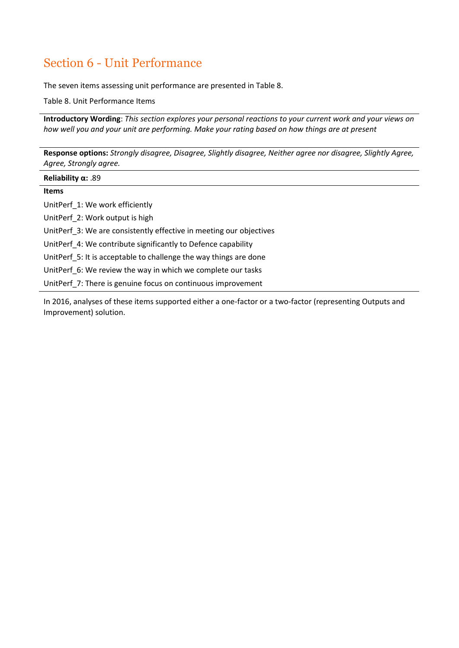## <span id="page-8-0"></span>Section 6 - Unit Performance

The seven items assessing unit performance are presented in Table 8.

Table 8. Unit Performance Items

**Introductory Wording**: *This section explores your personal reactions to your current work and your views on how well you and your unit are performing. Make your rating based on how things are at present*

**Response options:** *Strongly disagree, Disagree, Slightly disagree, Neither agree nor disagree, Slightly Agree, Agree, Strongly agree.*

| Reliability $\alpha$ : .89                                          |
|---------------------------------------------------------------------|
| <b>Items</b>                                                        |
| UnitPerf 1: We work efficiently                                     |
| UnitPerf 2: Work output is high                                     |
| UnitPerf 3: We are consistently effective in meeting our objectives |
| UnitPerf 4: We contribute significantly to Defence capability       |
| UnitPerf 5: It is acceptable to challenge the way things are done   |
| UnitPerf 6: We review the way in which we complete our tasks        |
| UnitPerf 7: There is genuine focus on continuous improvement        |

In 2016, analyses of these items supported either a one-factor or a two-factor (representing Outputs and Improvement) solution.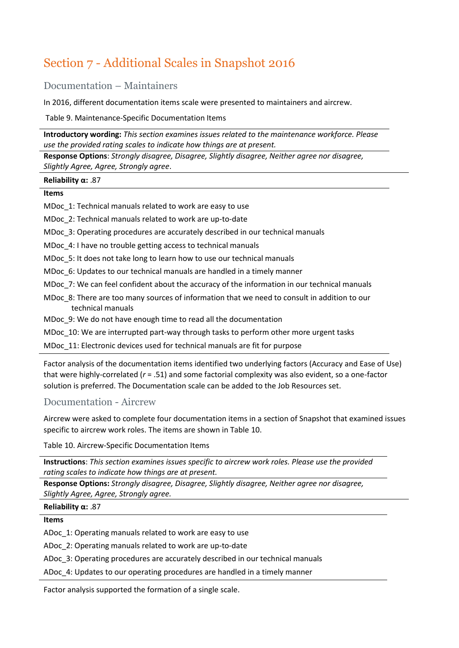## <span id="page-9-0"></span>Section 7 - Additional Scales in Snapshot 2016

<span id="page-9-1"></span>Documentation – Maintainers

In 2016, different documentation items scale were presented to maintainers and aircrew.

Table 9. Maintenance-Specific Documentation Items

**Introductory wording:** *This section examines issues related to the maintenance workforce. Please use the provided rating scales to indicate how things are at present.* 

**Response Options**: *Strongly disagree, Disagree, Slightly disagree, Neither agree nor disagree, Slightly Agree, Agree, Strongly agree*.

#### **Reliability α:** .87

### **Items**

MDoc 1: Technical manuals related to work are easy to use

MDoc\_2: Technical manuals related to work are up-to-date

MDoc\_3: Operating procedures are accurately described in our technical manuals

MDoc 4: I have no trouble getting access to technical manuals

MDoc\_5: It does not take long to learn how to use our technical manuals

MDoc 6: Updates to our technical manuals are handled in a timely manner

MDoc. 7: We can feel confident about the accuracy of the information in our technical manuals

MDoc\_8: There are too many sources of information that we need to consult in addition to our technical manuals

MDoc\_9: We do not have enough time to read all the documentation

MDoc\_10: We are interrupted part-way through tasks to perform other more urgent tasks

MDoc\_11: Electronic devices used for technical manuals are fit for purpose

Factor analysis of the documentation items identified two underlying factors (Accuracy and Ease of Use) that were highly-correlated (*r* = .51) and some factorial complexity was also evident, so a one-factor solution is preferred. The Documentation scale can be added to the Job Resources set.

## <span id="page-9-2"></span>Documentation - Aircrew

Aircrew were asked to complete four documentation items in a section of Snapshot that examined issues specific to aircrew work roles. The items are shown in Table 10.

Table 10. Aircrew-Specific Documentation Items

**Instructions**: *This section examines issues specific to aircrew work roles. Please use the provided rating scales to indicate how things are at present.*

**Response Options:** *Strongly disagree, Disagree, Slightly disagree, Neither agree nor disagree, Slightly Agree, Agree, Strongly agree.*

**Reliability α:** .87

**Items**

ADoc\_1: Operating manuals related to work are easy to use

ADoc\_2: Operating manuals related to work are up-to-date

ADoc\_3: Operating procedures are accurately described in our technical manuals

ADoc\_4: Updates to our operating procedures are handled in a timely manner

Factor analysis supported the formation of a single scale.